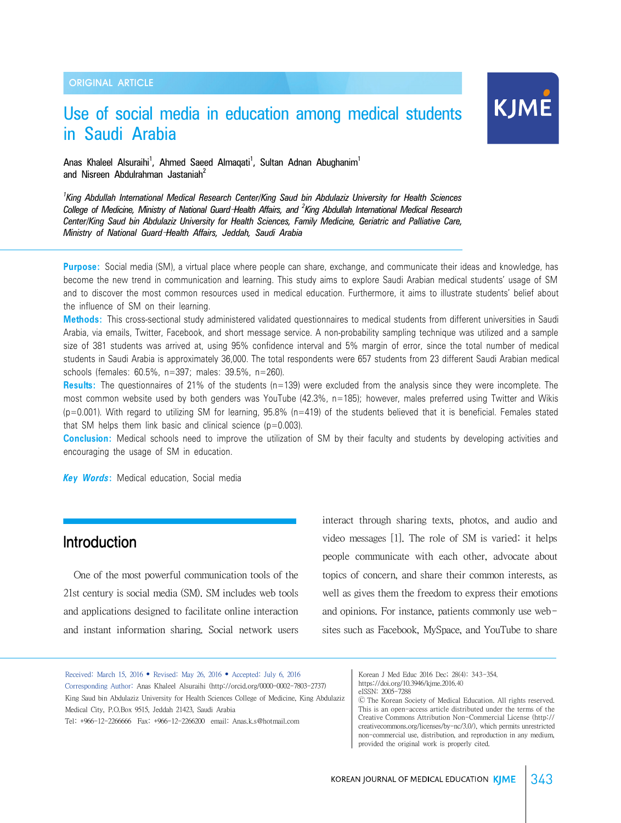## Use of social media in education among medical students in Saudi Arabia

# KJME

Anas Khaleel Alsuraihi<sup>1</sup>, Ahmed Saeed Almaqati<sup>1</sup>, Sultan Adnan Abughanim<sup>1</sup> and Nisreen Abdulrahman Jastaniah<sup>2</sup>

*1 King Abdullah International Medical Research Center/King Saud bin Abdulaziz University for Health Sciences College of Medicine, Ministry of National Guard*–*Health Affairs, and <sup>2</sup> King Abdullah International Medical Research Center/King Saud bin Abdulaziz University for Health Sciences, Family Medicine, Geriatric and Palliative Care, Ministry of National Guard*–*Health Affairs, Jeddah, Saudi Arabia*

**Purpose:** Social media (SM), a virtual place where people can share, exchange, and communicate their ideas and knowledge, has become the new trend in communication and learning. This study aims to explore Saudi Arabian medical students' usage of SM and to discover the most common resources used in medical education. Furthermore, it aims to illustrate students' belief about the influence of SM on their learning.

**Methods:** This cross-sectional study administered validated questionnaires to medical students from different universities in Saudi Arabia, via emails, Twitter, Facebook, and short message service. A non-probability sampling technique was utilized and a sample size of 381 students was arrived at, using 95% confidence interval and 5% margin of error, since the total number of medical students in Saudi Arabia is approximately 36,000. The total respondents were 657 students from 23 different Saudi Arabian medical schools (females: 60.5%, n=397; males: 39.5%, n=260).

**Results:** The questionnaires of 21% of the students (n=139) were excluded from the analysis since they were incomplete. The most common website used by both genders was YouTube (42.3%, n=185); however, males preferred using Twitter and Wikis (p=0.001). With regard to utilizing SM for learning, 95.8% (n=419) of the students believed that it is beneficial. Females stated that SM helps them link basic and clinical science  $(p=0.003)$ .

**Conclusion:** Medical schools need to improve the utilization of SM by their faculty and students by developing activities and encouraging the usage of SM in education.

*Key Words***:** Medical education, Social media

## **Introduction**

One of the most powerful communication tools of the 21st century is social media (SM). SM includes web tools and applications designed to facilitate online interaction and instant information sharing. Social network users interact through sharing texts, photos, and audio and video messages [1]. The role of SM is varied: it helps people communicate with each other, advocate about topics of concern, and share their common interests, as well as gives them the freedom to express their emotions and opinions. For instance, patients commonly use websites such as Facebook, MySpace, and YouTube to share

Received: March 15, 2016 • Revised: May 26, 2016 • Accepted: July 6, 2016 Corresponding Author: Anas Khaleel Alsuraihi (http://orcid.org/0000-0002-7803-2737) King Saud bin Abdulaziz University for Health Sciences College of Medicine, King Abdulaziz Medical City, P.O.Box 9515, Jeddah 21423, Saudi Arabia Tel: +966-12-2266666 Fax: +966-12-2266200 email: Anas.k.s@hotmail.com

Korean J Med Educ 2016 Dec; 28(4): 343-354. https://doi.org/10.3946/kjme.2016.40 eISSN: 2005-7288

Ⓒ The Korean Society of Medical Education. All rights reserved. This is an open-access article distributed under the terms of the Creative Commons Attribution Non-Commercial License (http:// creativecommons.org/licenses/by-nc/3.0/), which permits unrestricted non-commercial use, distribution, and reproduction in any medium, provided the original work is properly cited.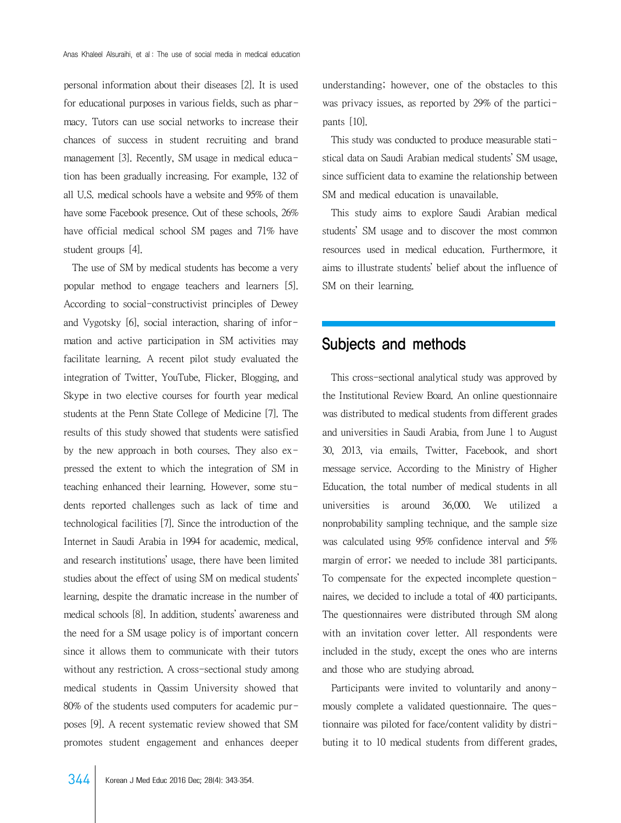personal information about their diseases [2]. It is used for educational purposes in various fields, such as pharmacy. Tutors can use social networks to increase their chances of success in student recruiting and brand management [3]. Recently, SM usage in medical education has been gradually increasing. For example, 132 of all U.S. medical schools have a website and 95% of them have some Facebook presence. Out of these schools, 26% have official medical school SM pages and 71% have student groups [4].

 The use of SM by medical students has become a very popular method to engage teachers and learners [5]. According to social-constructivist principles of Dewey and Vygotsky [6], social interaction, sharing of information and active participation in SM activities may facilitate learning. A recent pilot study evaluated the integration of Twitter, YouTube, Flicker, Blogging, and Skype in two elective courses for fourth year medical students at the Penn State College of Medicine [7]. The results of this study showed that students were satisfied by the new approach in both courses. They also expressed the extent to which the integration of SM in teaching enhanced their learning. However, some students reported challenges such as lack of time and technological facilities [7]. Since the introduction of the Internet in Saudi Arabia in 1994 for academic, medical, and research institutions' usage, there have been limited studies about the effect of using SM on medical students' learning, despite the dramatic increase in the number of medical schools [8]. In addition, students' awareness and the need for a SM usage policy is of important concern since it allows them to communicate with their tutors without any restriction. A cross-sectional study among medical students in Qassim University showed that 80% of the students used computers for academic purposes [9]. A recent systematic review showed that SM promotes student engagement and enhances deeper

understanding; however, one of the obstacles to this was privacy issues, as reported by 29% of the participants [10].

 This study was conducted to produce measurable statistical data on Saudi Arabian medical students' SM usage, since sufficient data to examine the relationship between SM and medical education is unavailable.

 This study aims to explore Saudi Arabian medical students' SM usage and to discover the most common resources used in medical education. Furthermore, it aims to illustrate students' belief about the influence of SM on their learning.

## Subjects and methods

 This cross-sectional analytical study was approved by the Institutional Review Board. An online questionnaire was distributed to medical students from different grades and universities in Saudi Arabia, from June 1 to August 30, 2013, via emails, Twitter, Facebook, and short message service. According to the Ministry of Higher Education, the total number of medical students in all universities is around 36,000. We utilized a nonprobability sampling technique, and the sample size was calculated using 95% confidence interval and 5% margin of error; we needed to include 381 participants. To compensate for the expected incomplete questionnaires, we decided to include a total of 400 participants. The questionnaires were distributed through SM along with an invitation cover letter. All respondents were included in the study, except the ones who are interns and those who are studying abroad.

 Participants were invited to voluntarily and anonymously complete a validated questionnaire. The questionnaire was piloted for face/content validity by distributing it to 10 medical students from different grades,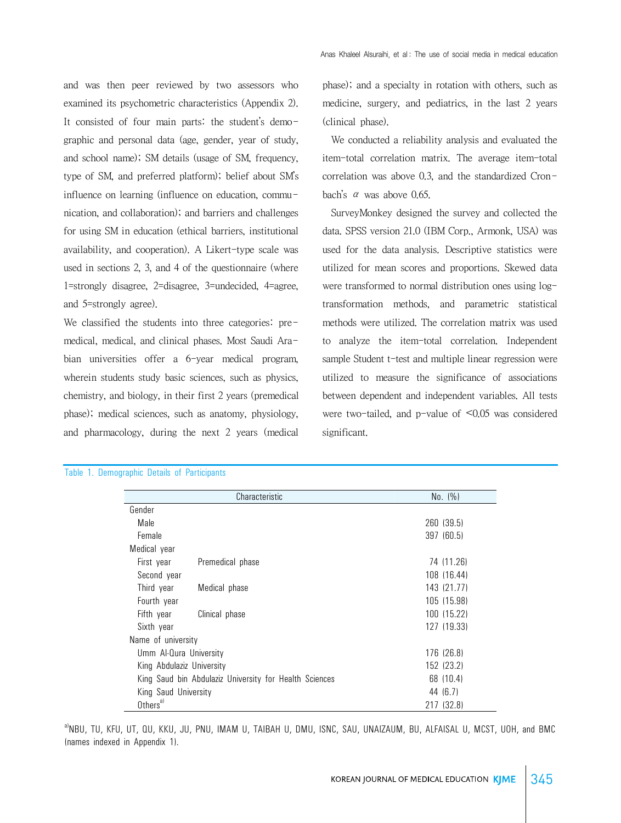and was then peer reviewed by two assessors who examined its psychometric characteristics (Appendix 2). It consisted of four main parts: the student's demographic and personal data (age, gender, year of study, and school name); SM details (usage of SM, frequency, type of SM, and preferred platform); belief about SM's influence on learning (influence on education, communication, and collaboration); and barriers and challenges for using SM in education (ethical barriers, institutional availability, and cooperation). A Likert-type scale was used in sections 2, 3, and 4 of the questionnaire (where 1=strongly disagree, 2=disagree, 3=undecided, 4=agree, and 5=strongly agree).

We classified the students into three categories: premedical, medical, and clinical phases. Most Saudi Arabian universities offer a 6-year medical program. wherein students study basic sciences, such as physics, chemistry, and biology, in their first 2 years (premedical phase); medical sciences, such as anatomy, physiology, and pharmacology, during the next 2 years (medical

phase); and a specialty in rotation with others, such as medicine, surgery, and pediatrics, in the last 2 years (clinical phase).

 We conducted a reliability analysis and evaluated the item-total correlation matrix. The average item-total correlation was above 0.3, and the standardized Cronbach's α was above 0.65.

 SurveyMonkey designed the survey and collected the data. SPSS version 21.0 (IBM Corp., Armonk, USA) was used for the data analysis. Descriptive statistics were utilized for mean scores and proportions. Skewed data were transformed to normal distribution ones using logtransformation methods, and parametric statistical methods were utilized. The correlation matrix was used to analyze the item-total correlation. Independent sample Student t-test and multiple linear regression were utilized to measure the significance of associations between dependent and independent variables. All tests were two-tailed, and p-value of <0.05 was considered significant.

| Characteristic                                         |                  | No. (%)     |
|--------------------------------------------------------|------------------|-------------|
| Gender                                                 |                  |             |
| Male                                                   |                  | 260 (39.5)  |
| Female                                                 |                  | 397 (60.5)  |
| Medical year                                           |                  |             |
| First year                                             | Premedical phase | 74 (11.26)  |
| Second year                                            |                  | 108 (16.44) |
| Third year                                             | Medical phase    | 143 (21.77) |
| Fourth year                                            |                  | 105 (15.98) |
| Fifth year                                             | Clinical phase   | 100 (15.22) |
| Sixth year                                             |                  | 127 (19.33) |
| Name of university                                     |                  |             |
| Umm Al-Qura University                                 |                  | 176 (26.8)  |
| King Abdulaziz University                              |                  | 152 (23.2)  |
| King Saud bin Abdulaziz University for Health Sciences |                  | 68 (10.4)   |
| King Saud University                                   |                  | 44 (6.7)    |
| Others <sup>a)</sup>                                   |                  | 217 (32.8)  |

#### Table 1. Demographic Details of Participants

 $^{\text{a}}$ NBU, TU, KFU, UT, QU, KKU, JU, PNU, IMAM U, TAIBAH U, DMU, ISNC, SAU, UNAIZAUM, BU, ALFAISAL U, MCST, UOH, and BMC (names indexed in Appendix 1).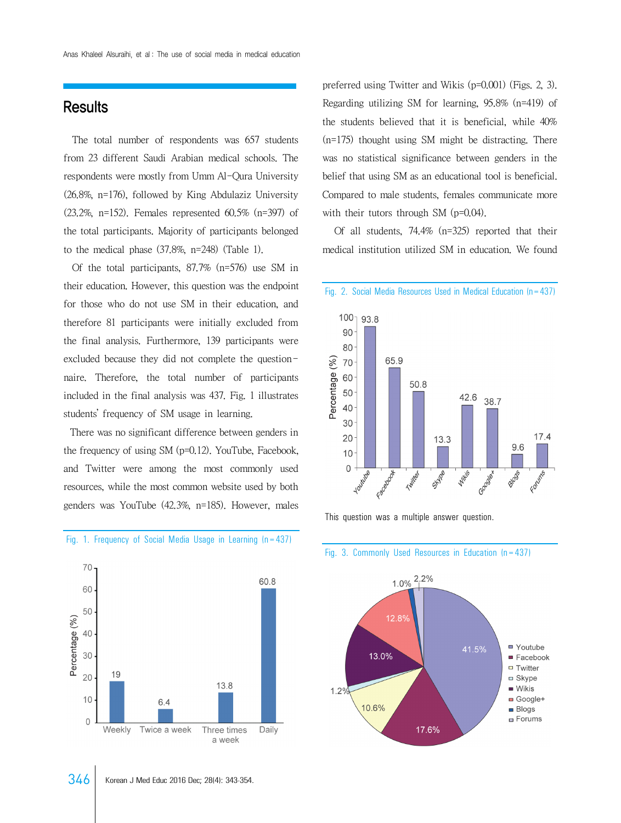## **Results**

 The total number of respondents was 657 students from 23 different Saudi Arabian medical schools. The respondents were mostly from Umm Al-Qura University (26.8%, n=176), followed by King Abdulaziz University (23.2%, n=152). Females represented 60.5% (n=397) of the total participants. Majority of participants belonged to the medical phase (37.8%, n=248) (Table 1).

 Of the total participants, 87.7% (n=576) use SM in their education. However, this question was the endpoint for those who do not use SM in their education, and therefore 81 participants were initially excluded from the final analysis. Furthermore, 139 participants were excluded because they did not complete the questionnaire. Therefore, the total number of participants included in the final analysis was 437. Fig. 1 illustrates students' frequency of SM usage in learning.

 There was no significant difference between genders in the frequency of using SM (p=0.12). YouTube, Facebook, and Twitter were among the most commonly used resources, while the most common website used by both genders was YouTube (42.3%, n=185). However, males



#### Fig. 1. Frequency of Social Media Usage in Learning (n=437)

preferred using Twitter and Wikis (p=0.001) (Figs. 2, 3). Regarding utilizing SM for learning, 95.8% (n=419) of the students believed that it is beneficial, while 40% (n=175) thought using SM might be distracting. There was no statistical significance between genders in the belief that using SM as an educational tool is beneficial. Compared to male students, females communicate more with their tutors through SM (p=0.04).

 Of all students, 74.4% (n=325) reported that their medical institution utilized SM in education. We found

Fig. 2. Social Media Resources Used in Medical Education (n=437)







#### Fig. 3. Commonly Used Resources in Education (n=437)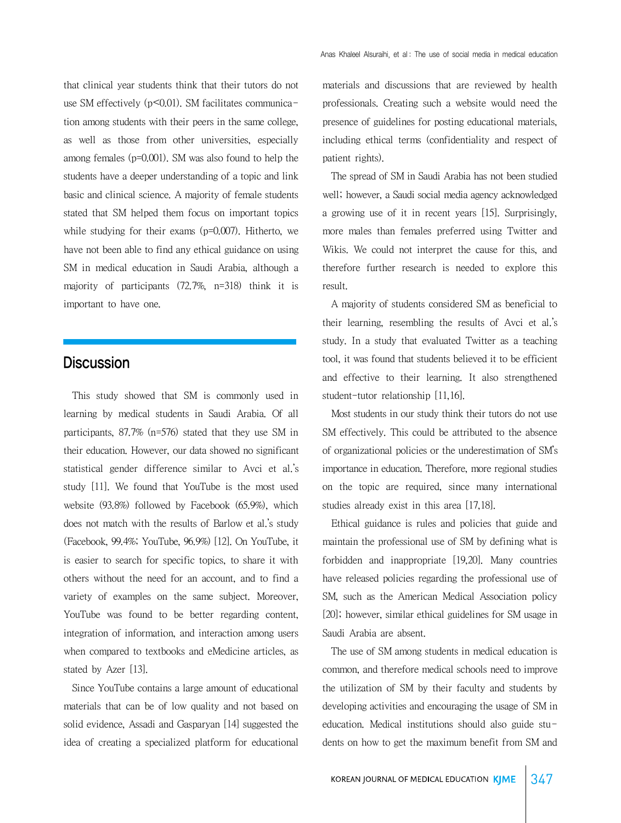that clinical year students think that their tutors do not use SM effectively ( $p \le 0.01$ ). SM facilitates communication among students with their peers in the same college, as well as those from other universities, especially among females (p=0.001). SM was also found to help the students have a deeper understanding of a topic and link basic and clinical science. A majority of female students stated that SM helped them focus on important topics while studying for their exams (p=0.007). Hitherto, we have not been able to find any ethical guidance on using SM in medical education in Saudi Arabia, although a majority of participants (72.7%, n=318) think it is important to have one.

## **Discussion**

 This study showed that SM is commonly used in learning by medical students in Saudi Arabia. Of all participants, 87.7% (n=576) stated that they use SM in their education. However, our data showed no significant statistical gender difference similar to Avci et al.'s study [11]. We found that YouTube is the most used website (93.8%) followed by Facebook (65.9%), which does not match with the results of Barlow et al.'s study (Facebook, 99.4%; YouTube, 96.9%) [12]. On YouTube, it is easier to search for specific topics, to share it with others without the need for an account, and to find a variety of examples on the same subject. Moreover, YouTube was found to be better regarding content, integration of information, and interaction among users when compared to textbooks and eMedicine articles, as stated by Azer [13].

 Since YouTube contains a large amount of educational materials that can be of low quality and not based on solid evidence, Assadi and Gasparyan [14] suggested the idea of creating a specialized platform for educational

materials and discussions that are reviewed by health professionals. Creating such a website would need the presence of guidelines for posting educational materials, including ethical terms (confidentiality and respect of patient rights).

 The spread of SM in Saudi Arabia has not been studied well; however, a Saudi social media agency acknowledged a growing use of it in recent years [15]. Surprisingly, more males than females preferred using Twitter and Wikis. We could not interpret the cause for this, and therefore further research is needed to explore this result.

 A majority of students considered SM as beneficial to their learning, resembling the results of Avci et al.'s study. In a study that evaluated Twitter as a teaching tool, it was found that students believed it to be efficient and effective to their learning. It also strengthened student-tutor relationship [11,16].

 Most students in our study think their tutors do not use SM effectively. This could be attributed to the absence of organizational policies or the underestimation of SM's importance in education. Therefore, more regional studies on the topic are required, since many international studies already exist in this area [17,18].

 Ethical guidance is rules and policies that guide and maintain the professional use of SM by defining what is forbidden and inappropriate [19,20]. Many countries have released policies regarding the professional use of SM, such as the American Medical Association policy [20]; however, similar ethical guidelines for SM usage in Saudi Arabia are absent.

 The use of SM among students in medical education is common, and therefore medical schools need to improve the utilization of SM by their faculty and students by developing activities and encouraging the usage of SM in education. Medical institutions should also guide students on how to get the maximum benefit from SM and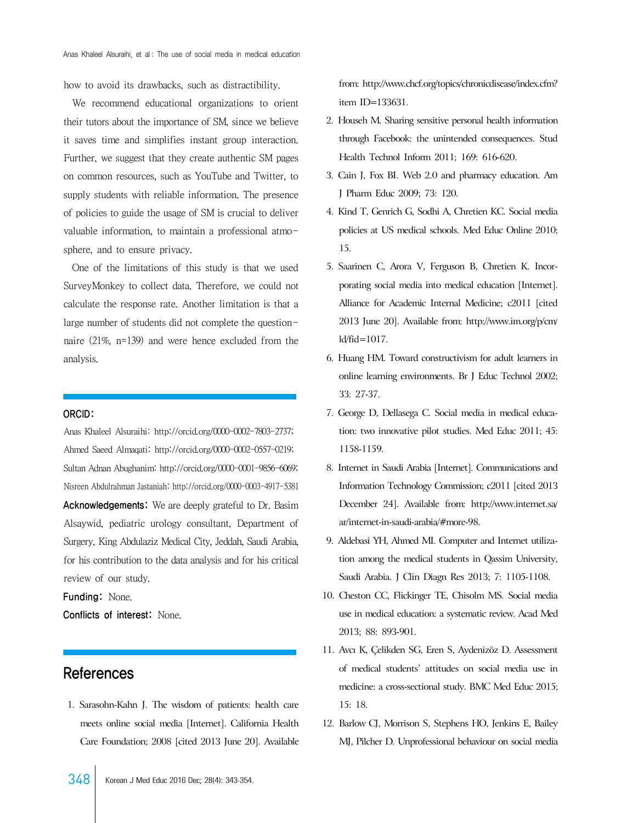how to avoid its drawbacks, such as distractibility.

 We recommend educational organizations to orient their tutors about the importance of SM, since we believe it saves time and simplifies instant group interaction. Further, we suggest that they create authentic SM pages on common resources, such as YouTube and Twitter, to supply students with reliable information. The presence of policies to guide the usage of SM is crucial to deliver valuable information, to maintain a professional atmosphere, and to ensure privacy.

 One of the limitations of this study is that we used SurveyMonkey to collect data. Therefore, we could not calculate the response rate. Another limitation is that a large number of students did not complete the questionnaire (21%, n=139) and were hence excluded from the analysis.

#### ORCID:

Anas Khaleel Alsuraihi: http://orcid.org/0000-0002-7803-2737; Ahmed Saeed Almaqati: http://orcid.org/0000-0002-0557-0219; Sultan Adnan Abughanim: http://orcid.org/0000-0001-9856-6069; Nisreen Abdulrahman Jastaniah: http://orcid.org/0000-0003-4917-5381 Acknowledgements: We are deeply grateful to Dr. Basim Alsaywid, pediatric urology consultant, Department of Surgery, King Abdulaziz Medical City, Jeddah, Saudi Arabia, for his contribution to the data analysis and for his critical review of our study.

Funding: None.

Conflicts of interest: None.

## References

 1. Sarasohn-Kahn J. The wisdom of patients: health care meets online social media [Internet]. California Health Care Foundation; 2008 [cited 2013 June 20]. Available

[from: http://www.chcf.org/topics/chronicdisease/index.cfm?](http://www.chcf.org/topics/chronicdisease/index.cfm?itemID=133631) item ID=133631.

- 2. Househ M. Sharing sensitive personal health information through Facebook: the unintended consequences. Stud Health Technol Inform 2011; 169: 616-620.
- 3. Cain J, Fox BI. Web 2.0 and pharmacy education. Am J Pharm Educ 2009; 73: 120.
- 4. Kind T, Genrich G, Sodhi A, Chretien KC. Social media policies at US medical schools. Med Educ Online 2010; 15.
- 5. Saarinen C, Arora V, Ferguson B, Chretien K. Incorporating social media into medical education [Internet]. Alliance for Academic Internal Medicine; c2011 [cited [2013 June 20\]. Available from: http://www.im.org/p/cm/](http://www.im.org/p/cm/ld/fid=1017) ld/fid=1017.
- 6. Huang HM. Toward constructivism for adult learners in online learning environments. Br J Educ Technol 2002; 33: 27-37.
- 7. George D, Dellasega C. Social media in medical education: two innovative pilot studies. Med Educ 2011; 45: 1158-1159.
- 8. Internet in Saudi Arabia [Internet]. Communications and Information Technology Commission; c2011 [cited 2013 [December 24\]. Available from: http://www.internet.sa/](http://www.internet.sa/ar/internet-in-saudi-arabia/#more-98) ar/internet-in-saudi-arabia/#more-98.
- 9. Aldebasi YH, Ahmed MI. Computer and Internet utilization among the medical students in Qassim University, Saudi Arabia. J Clin Diagn Res 2013; 7: 1105-1108.
- 10. Cheston CC, Flickinger TE, Chisolm MS. Social media use in medical education: a systematic review. Acad Med 2013; 88: 893-901.
- 11. Avcı K, Çelikden SG, Eren S, Aydenizöz D. Assessment of medical students' attitudes on social media use in medicine: a cross-sectional study. BMC Med Educ 2015; 15: 18.
- 12. Barlow CJ, Morrison S, Stephens HO, Jenkins E, Bailey MJ, Pilcher D. Unprofessional behaviour on social media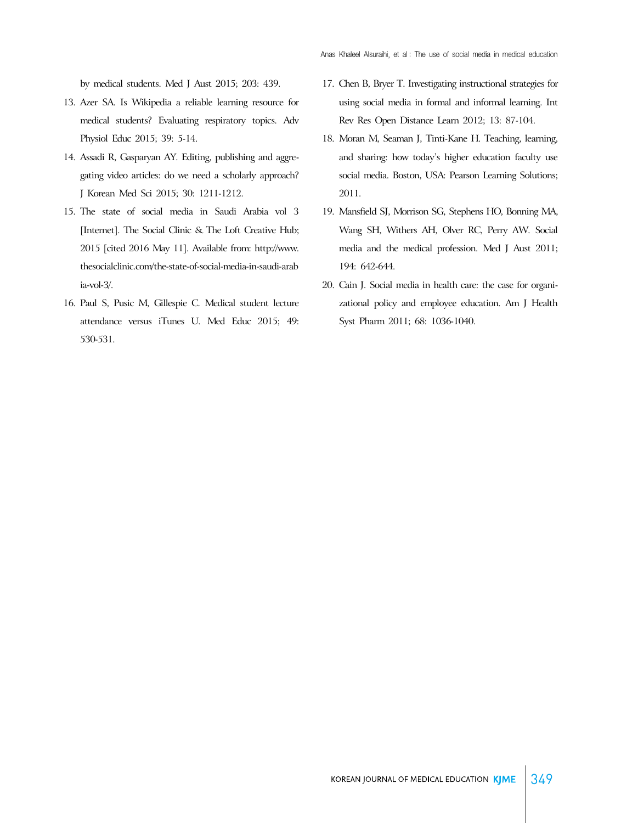by medical students. Med J Aust 2015; 203: 439.

- 13. Azer SA. Is Wikipedia a reliable learning resource for medical students? Evaluating respiratory topics. Adv Physiol Educ 2015; 39: 5-14.
- 14. Assadi R, Gasparyan AY. Editing, publishing and aggregating video articles: do we need a scholarly approach? J Korean Med Sci 2015; 30: 1211-1212.
- 15. The state of social media in Saudi Arabia vol 3 [Internet]. The Social Clinic & The Loft Creative Hub; [2015 \[cited 2016 May 11\]. Available from: http://www.](http://www.thesocialclinic.com/the-state-of-social-media-in-saudi-arabia-vol-3/) thesocialclinic.com/the-state-of-social-media-in-saudi-arab ia-vol-3/.
- 16. Paul S, Pusic M, Gillespie C. Medical student lecture attendance versus iTunes U. Med Educ 2015; 49: 530-531.
- 17. Chen B, Bryer T. Investigating instructional strategies for using social media in formal and informal learning. Int Rev Res Open Distance Learn 2012; 13: 87-104.
- 18. Moran M, Seaman J, Tinti-Kane H. Teaching, learning, and sharing: how today's higher education faculty use social media. Boston, USA: Pearson Learning Solutions; 2011.
- 19. Mansfield SJ, Morrison SG, Stephens HO, Bonning MA, Wang SH, Withers AH, Olver RC, Perry AW. Social media and the medical profession. Med J Aust 2011; 194: 642-644.
- 20. Cain J. Social media in health care: the case for organizational policy and employee education. Am J Health Syst Pharm 2011; 68: 1036-1040.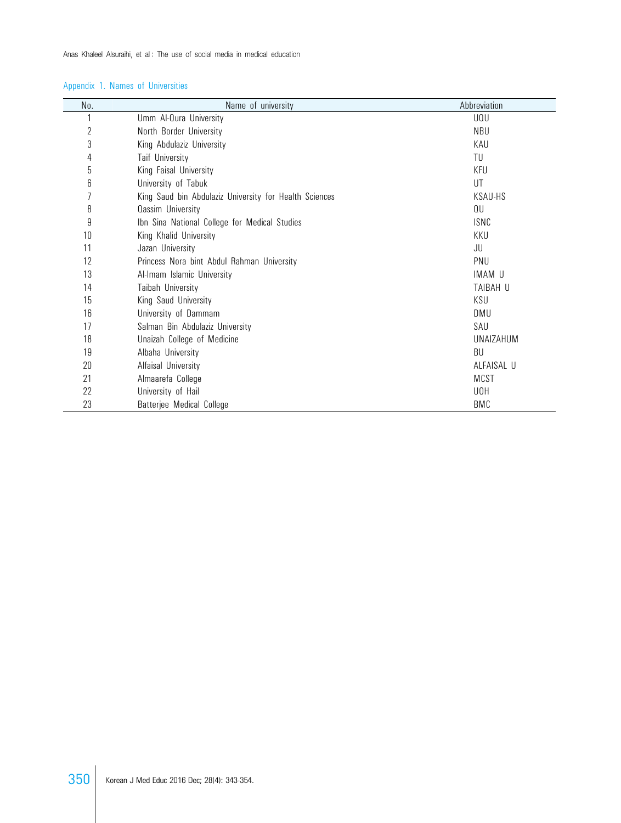## Appendix 1. Names of Universities

| No.            | Name of university                                     | Abbreviation |
|----------------|--------------------------------------------------------|--------------|
|                | Umm Al-Qura University                                 | UQU          |
| $\overline{2}$ | North Border University                                | NBU          |
| 3              | King Abdulaziz University                              | KAU          |
| 4              | <b>Taif University</b>                                 | TU           |
| 5              | King Faisal University                                 | KFU          |
| 6              | University of Tabuk                                    | UT           |
| 7              | King Saud bin Abdulaziz University for Health Sciences | KSAU-HS      |
| 8              | <b>Qassim University</b>                               | QU           |
| 9              | Ibn Sina National College for Medical Studies          | ISNC         |
| 10             | King Khalid University                                 | KKU          |
| 11             | Jazan University                                       | JU           |
| 12             | Princess Nora bint Abdul Rahman University             | PNU          |
| 13             | Al-Imam Islamic University                             | IMAM U       |
| 14             | Taibah University                                      | TAIBAH U     |
| 15             | King Saud University                                   | KSU          |
| 16             | University of Dammam                                   | DMU          |
| 17             | Salman Bin Abdulaziz University                        | SAU          |
| 18             | Unaizah College of Medicine                            | UNAIZAHUM    |
| 19             | Albaha University                                      | BU           |
| 20             | Alfaisal University                                    | ALFAISAL U   |
| 21             | Almaarefa College                                      | <b>MCST</b>  |
| 22             | University of Hail                                     | U0H          |
| 23             | Batterjee Medical College                              | BMC          |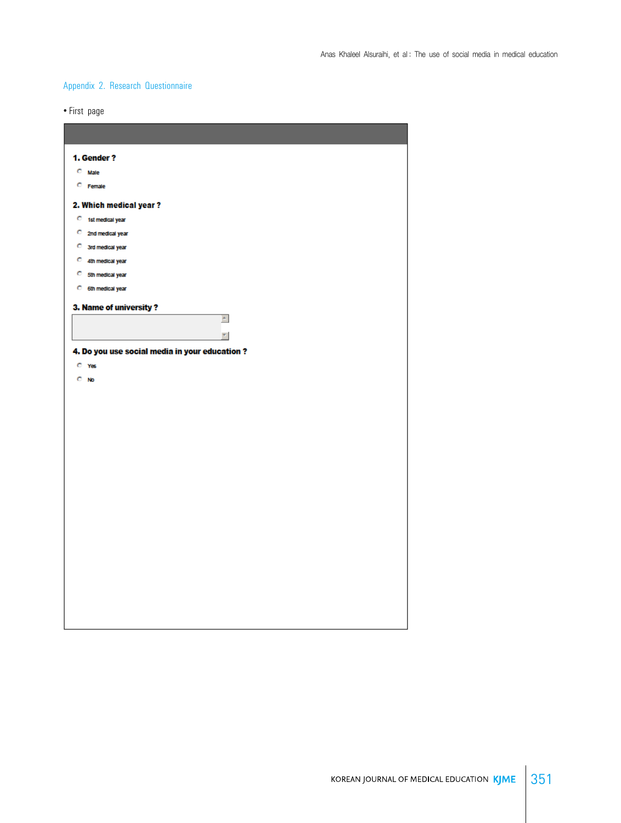## Appendix 2. Research Questionnaire

• First page

| 1. Gender?<br>$C$ Male<br>C Female                                                       |
|------------------------------------------------------------------------------------------|
| 2. Which medical year?<br>C 1st medical year<br>C 2nd medical year<br>C 3rd medical year |
| C 4th medical year<br>C 5th medical year<br>C 6th medical year<br>3. Name of university? |
| $\triangleq$<br>$\overline{\mathbf{v}}$<br>4. Do you use social media in your education? |
| $C$ Yes<br>$C$ No                                                                        |
|                                                                                          |
|                                                                                          |
|                                                                                          |
|                                                                                          |
|                                                                                          |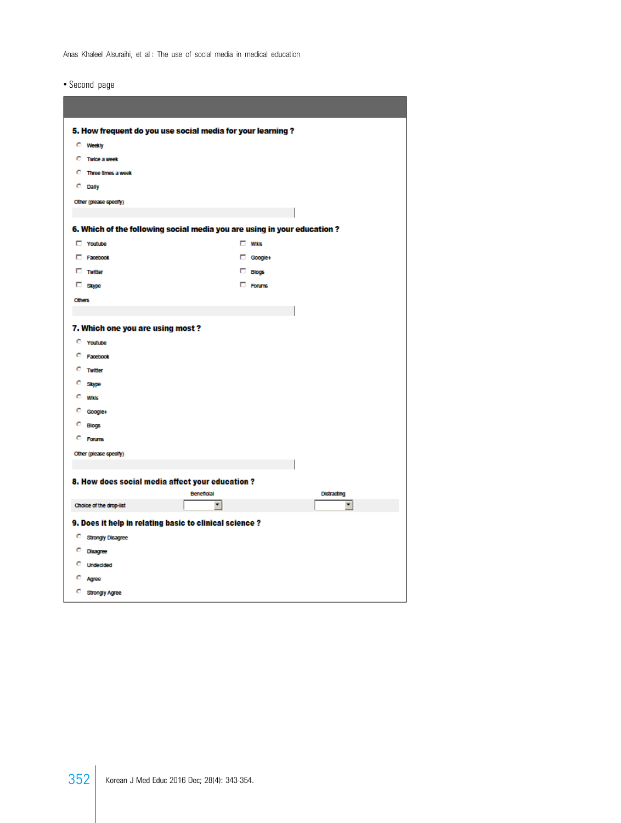• Second page

| 5. How frequent do you use social media for your learning? |                                                        |                                                                         |                  |
|------------------------------------------------------------|--------------------------------------------------------|-------------------------------------------------------------------------|------------------|
|                                                            | <b>C</b> Weekly                                        |                                                                         |                  |
|                                                            | <b>C</b> Twice a week                                  |                                                                         |                  |
|                                                            | <b>C</b> Three times a week                            |                                                                         |                  |
|                                                            | C Dally                                                |                                                                         |                  |
|                                                            | Other (please specify)                                 |                                                                         |                  |
|                                                            |                                                        |                                                                         |                  |
|                                                            |                                                        | 6. Which of the following social media you are using in your education? |                  |
|                                                            | T Youtube                                              | $\Box$ Wikis                                                            |                  |
|                                                            | Facebook                                               | Google+                                                                 |                  |
|                                                            | $\Box$ Twitter                                         | $\Box$ Blogs                                                            |                  |
|                                                            | □ Skype                                                | □ Forums                                                                |                  |
| <b>Others</b>                                              |                                                        |                                                                         |                  |
|                                                            |                                                        |                                                                         |                  |
|                                                            | 7. Which one you are using most?                       |                                                                         |                  |
|                                                            | C Youtube                                              |                                                                         |                  |
|                                                            | C Facebook                                             |                                                                         |                  |
|                                                            | C Twitter                                              |                                                                         |                  |
|                                                            | C Skype                                                |                                                                         |                  |
|                                                            | $C$ Wikis                                              |                                                                         |                  |
|                                                            | C Google+                                              |                                                                         |                  |
|                                                            | C Blogs                                                |                                                                         |                  |
|                                                            | C Forums                                               |                                                                         |                  |
|                                                            | Other (please specify)                                 |                                                                         |                  |
|                                                            |                                                        |                                                                         |                  |
|                                                            | 8. How does social media affect your education?        |                                                                         |                  |
|                                                            | Choice of the drop-list                                | Beneficial<br>۰,                                                        | Distracting<br>٠ |
|                                                            |                                                        |                                                                         |                  |
|                                                            | 9. Does it help in relating basic to clinical science? |                                                                         |                  |
|                                                            | C Strongly Disagree                                    |                                                                         |                  |
|                                                            | C Disagree                                             |                                                                         |                  |
|                                                            | C Undecided                                            |                                                                         |                  |
|                                                            | C Agree                                                |                                                                         |                  |
|                                                            | C Strongly Agree                                       |                                                                         |                  |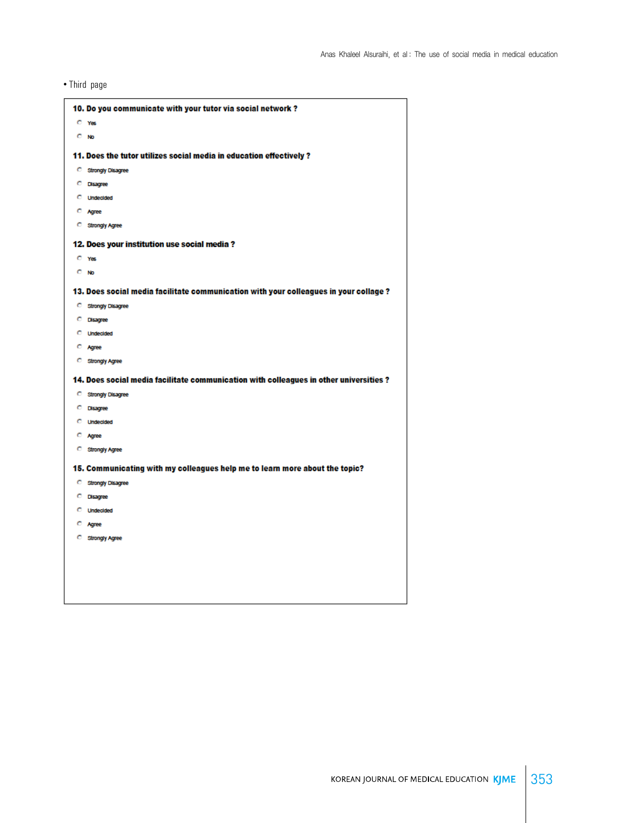• Third page

|         | 10. Do you communicate with your tutor via social network?                             |
|---------|----------------------------------------------------------------------------------------|
|         | $C$ Yes                                                                                |
| $C$ No  |                                                                                        |
|         | 11. Does the tutor utilizes social media in education effectively ?                    |
|         | C Strongly Disagree                                                                    |
|         | C Disagree                                                                             |
|         | <b>C</b> Undecided                                                                     |
|         | C Agree                                                                                |
|         | C Strongly Agree                                                                       |
|         | 12. Does your institution use social media?                                            |
|         | $C$ Yes                                                                                |
| $C$ No. |                                                                                        |
|         | 13. Does social media facilitate communication with your colleagues in your collage ?  |
|         | C Strongly Disagree                                                                    |
|         | C Disagree                                                                             |
|         | <b>C</b> Undecided                                                                     |
|         | C Agree                                                                                |
|         | <b>C</b> Strongly Agree                                                                |
|         | 14. Does social media facilitate communication with colleagues in other universities ? |
|         | C Strongly Disagree                                                                    |
|         | C Disagree                                                                             |
|         | C Undecided                                                                            |
|         | C Agree                                                                                |
|         | <b>C</b> Strongly Agree                                                                |
|         | 15. Communicating with my colleagues help me to learn more about the topic?            |
|         | C Strongly Disagree                                                                    |
|         | C Disagree                                                                             |
|         | <b>C</b> Undecided                                                                     |
|         | C Agree                                                                                |
|         | <b>C</b> Strongly Agree                                                                |
|         |                                                                                        |
|         |                                                                                        |
|         |                                                                                        |
|         |                                                                                        |